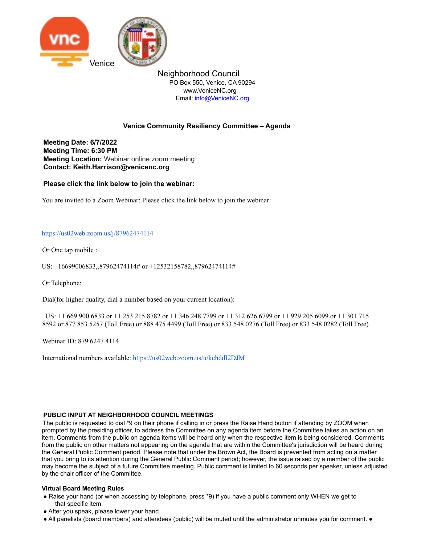

Neighborhood Council PO Box 550, Venice, CA 90294 www.VeniceNC.org Email: info@VeniceNC.org

# **Venice Community Resiliency Committee – Agenda**

**Meeting Date: 6/7/2022 Meeting Time: 6:30 PM Meeting Location:** Webinar online zoom meeting **Contact: Keith.Harrison@venicenc.org**

**Please click the link below to join the webinar:**

You are invited to a Zoom Webinar: Please click the link below to join the webinar:

## https://us02web.zoom.us/j/87962474114

Or One tap mobile :

US: +16699006833,,87962474114# or +12532158782,,87962474114#

Or Telephone:

Dial(for higher quality, dial a number based on your current location):

US: +1 669 900 6833 or +1 253 215 8782 or +1 346 248 7799 or +1 312 626 6799 or +1 929 205 6099 or +1 301 715 8592 or 877 853 5257 (Toll Free) or 888 475 4499 (Toll Free) or 833 548 0276 (Toll Free) or 833 548 0282 (Toll Free)

Webinar ID: 879 6247 4114

International numbers available: https://us02web.zoom.us/u/kchddI2DJM

## **PUBLIC INPUT AT NEIGHBORHOOD COUNCIL MEETINGS**

The public is requested to dial \*9 on their phone if calling in or press the Raise Hand button if attending by ZOOM when prompted by the presiding officer, to address the Committee on any agenda item before the Committee takes an action on an item. Comments from the public on agenda items will be heard only when the respective item is being considered. Comments from the public on other matters not appearing on the agenda that are within the Committee's jurisdiction will be heard during the General Public Comment period. Please note that under the Brown Act, the Board is prevented from acting on a matter that you bring to its attention during the General Public Comment period; however, the issue raised by a member of the public may become the subject of a future Committee meeting. Public comment is limited to 60 seconds per speaker, unless adjusted by the chair officer of the Committee.

## **Virtual Board Meeting Rules**

- Raise your hand (or when accessing by telephone, press \*9) if you have a public comment only WHEN we get to that specific item.
- After you speak, please lower your hand.
- All panelists (board members) and attendees (public) will be muted until the administrator unmutes you for comment. ●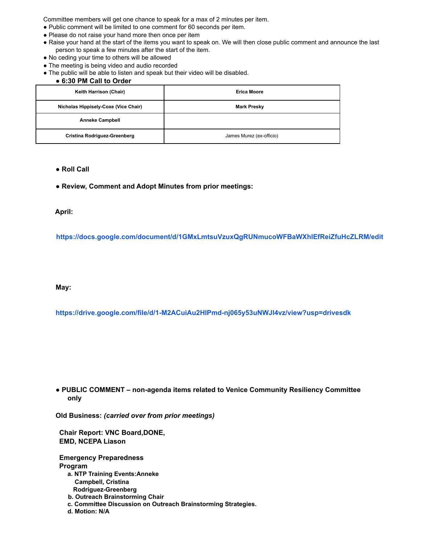Committee members will get one chance to speak for a max of 2 minutes per item.

- Public comment will be limited to one comment for 60 seconds per item.
- Please do not raise your hand more then once per item
- Raise your hand at the start of the items you want to speak on. We will then close public comment and announce the last person to speak a few minutes after the start of the item.
- No ceding your time to others will be allowed
- The meeting is being video and audio recorded
- The public will be able to listen and speak but their video will be disabled.

# ● **6:30 PM Call to Order**

| Keith Harrison (Chair)               | <b>Erica Moore</b>       |
|--------------------------------------|--------------------------|
| Nicholas Hippisely-Coxe (Vice Chair) | <b>Mark Presky</b>       |
| <b>Anneke Campbell</b>               |                          |
| <b>Cristina Rodriguez-Greenberg</b>  | James Murez (ex-officio) |

#### ● **Roll Call**

● **Review, Comment and Adopt Minutes from prior meetings:**

## **April:**

**https://docs.google.com/document/d/1GMxLmtsuVzuxQgRUNmucoWFBaWXhIEfReiZfuHcZLRM/edit**

## **May:**

**https://drive.google.com/file/d/1-M2ACuiAu2HIPmd-nj065y53uNWJl4vz/view?usp=drivesdk**

## ● **PUBLIC COMMENT – non-agenda items related to Venice Community Resiliency Committee only**

**Old Business:** *(carried over from prior meetings)*

**Chair Report: VNC Board,DONE, EMD, NCEPA Liason**

**Emergency Preparedness Program a. NTP Training Events:Anneke Campbell, Cristina Rodriguez-Greenberg b. Outreach Brainstorming Chair c. Committee Discussion on Outreach Brainstorming Strategies.**

**d. Motion: N/A**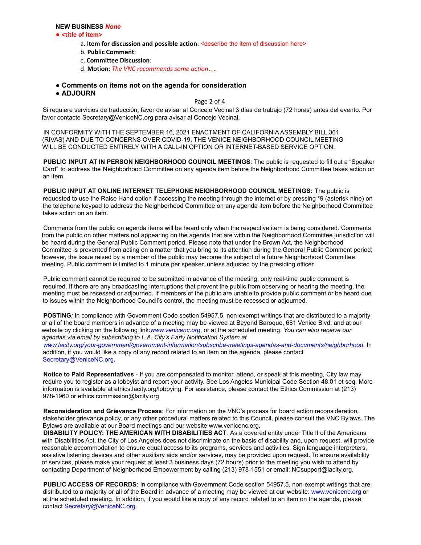#### **NEW BUSINESS** *None*

#### ● **<title of item>**

- a. I**tem for discussion and possible action**: <describe the item of discussion here>
- b. **Public Comment**:
- c. **Committee Discussion**:
- d. **Motion**: *The VNC recommends some action…*.
- **Comments on items not on the agenda for consideration**
- **ADJOURN**

Page 2 of 4

Si requiere servicios de traducción, favor de avisar al Concejo Vecinal 3 días de trabajo (72 horas) antes del evento. Por favor contacte Secretary@VeniceNC.org para avisar al Concejo Vecinal.

IN CONFORMITY WITH THE SEPTEMBER 16, 2021 ENACTMENT OF CALIFORNIA ASSEMBLY BILL 361 (RIVAS) AND DUE TO CONCERNS OVER COVID-19, THE VENICE NEIGHBORHOOD COUNCIL MEETING WILL BE CONDUCTED ENTIRELY WITH A CALL-IN OPTION OR INTERNET-BASED SERVICE OPTION.

**PUBLIC INPUT AT IN PERSON NEIGHBORHOOD COUNCIL MEETINGS**: The public is requested to fill out a "Speaker Card" to address the Neighborhood Committee on any agenda item before the Neighborhood Committee takes action on an item.

**PUBLIC INPUT AT ONLINE INTERNET TELEPHONE NEIGHBORHOOD COUNCIL MEETINGS:** The public is requested to use the Raise Hand option if accessing the meeting through the internet or by pressing \*9 (asterisk nine) on the telephone keypad to address the Neighborhood Committee on any agenda item before the Neighborhood Committee takes action on an item.

Comments from the public on agenda items will be heard only when the respective item is being considered. Comments from the public on other matters not appearing on the agenda that are within the Neighborhood Committee jurisdiction will be heard during the General Public Comment period. Please note that under the Brown Act, the Neighborhood Committee is prevented from acting on a matter that you bring to its attention during the General Public Comment period; however, the issue raised by a member of the public may become the subject of a future Neighborhood Committee meeting. Public comment is limited to **1** minute per speaker, unless adjusted by the presiding officer.

Public comment cannot be required to be submitted in advance of the meeting, only real-time public comment is required. If there are any broadcasting interruptions that prevent the public from observing or hearing the meeting, the meeting must be recessed or adjourned. If members of the public are unable to provide public comment or be heard due to issues within the Neighborhood Council's control, the meeting must be recessed or adjourned.

**POSTING***:* In compliance with Government Code section 54957.5, non-exempt writings that are distributed to a majority or all of the board members in advance of a meeting may be viewed at Beyond Baroque, 681 Venice Blvd; and at our website by clicking on the following link:*www.venicenc.org*, or at the scheduled meeting. *You can also receive our agendas via email by subscribing to L.A. City's Early Notification System at www.lacity.org/your-government/government-information/subscribe-meetings-agendas-and-documents/neighborhood.* In addition, if you would like a copy of any record related to an item on the agenda, please contact Secretary@VeniceNC.org*.*

**Notice to Paid Representatives** - If you are compensated to monitor, attend, or speak at this meeting, City law may require you to register as a lobbyist and report your activity. See Los Angeles Municipal Code Section 48.01 et seq. More information is available at ethics.lacity.org/lobbying. For assistance, please contact the Ethics Commission at (213) 978-1960 or ethics.commission@lacity.org

**Reconsideration and Grievance Process**: For information on the VNC's process for board action reconsideration, stakeholder grievance policy, or any other procedural matters related to this Council, please consult the VNC Bylaws. The Bylaws are available at our Board meetings and our website www.venicenc.org.

**DISABILITY POLICY: THE AMERICAN WITH DISABILITIES ACT**: As a covered entity under Title II of the Americans with Disabilities Act, the City of Los Angeles does not discriminate on the basis of disability and, upon request, will provide reasonable accommodation to ensure equal access to its programs, services and activities. Sign language interpreters, assistive listening devices and other auxiliary aids and/or services, may be provided upon request. To ensure availability of services, please make your request at least 3 business days (72 hours) prior to the meeting you wish to attend by contacting Department of Neighborhood Empowerment by calling (213) 978-1551 or email: NCsupport@lacity.org.

**PUBLIC ACCESS OF RECORDS**: In compliance with Government Code section 54957.5, non-exempt writings that are distributed to a majority or all of the Board in advance of a meeting may be viewed at our website: www.venicenc.org or at the scheduled meeting. In addition, if you would like a copy of any record related to an item on the agenda, please contact Secretary@VeniceNC.org.